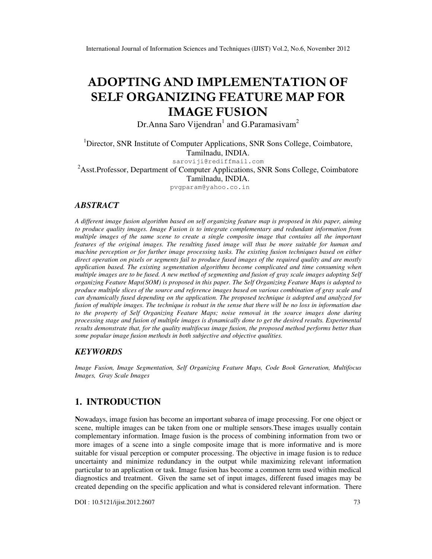# ADOPTING AND IMPLEMENTATION OF SELF ORGANIZING FEATURE MAP FOR IMAGE FUSION

Dr.Anna Saro Vijendran<sup>1</sup> and G.Paramasivam<sup>2</sup>

<sup>1</sup>Director, SNR Institute of Computer Applications, SNR Sons College, Coimbatore, Tamilnadu, INDIA. saroviji@rediffmail.com <sup>2</sup>Asst.Professor, Department of Computer Applications, SNR Sons College, Coimbatore Tamilnadu, INDIA. pvgparam@yahoo.co.in

### *ABSTRACT*

*A different image fusion algorithm based on self organizing feature map is proposed in this paper, aiming to produce quality images. Image Fusion is to integrate complementary and redundant information from multiple images of the same scene to create a single composite image that contains all the important features of the original images. The resulting fused image will thus be more suitable for human and machine perception or for further image processing tasks. The existing fusion techniques based on either direct operation on pixels or segments fail to produce fused images of the required quality and are mostly application based. The existing segmentation algorithms become complicated and time consuming when multiple images are to be fused. A new method of segmenting and fusion of gray scale images adopting Self organizing Feature Maps(SOM) is proposed in this paper. The Self Organizing Feature Maps is adopted to produce multiple slices of the source and reference images based on various combination of gray scale and can dynamically fused depending on the application. The proposed technique is adopted and analyzed for fusion of multiple images. The technique is robust in the sense that there will be no loss in information due to the property of Self Organizing Feature Maps; noise removal in the source images done during processing stage and fusion of multiple images is dynamically done to get the desired results. Experimental results demonstrate that, for the quality multifocus image fusion, the proposed method performs better than some popular image fusion methods in both subjective and objective qualities.* 

#### *KEYWORDS*

*Image Fusion, Image Segmentation, Self Organizing Feature Maps, Code Book Generation, Multifocus Images, Gray Scale Images*

# **1. INTRODUCTION**

**N**owadays, image fusion has become an important subarea of image processing. For one object or scene, multiple images can be taken from one or multiple sensors.These images usually contain complementary information. Image fusion is the process of combining information from two or more images of a scene into a single composite image that is more informative and is more suitable for visual perception or computer processing. The objective in image fusion is to reduce uncertainty and minimize redundancy in the output while maximizing relevant information particular to an application or task. Image fusion has become a common term used within medical diagnostics and treatment. Given the same set of input images, different fused images may be created depending on the specific application and what is considered relevant information. There

DOI : 10.5121/ijist.2012.2607 73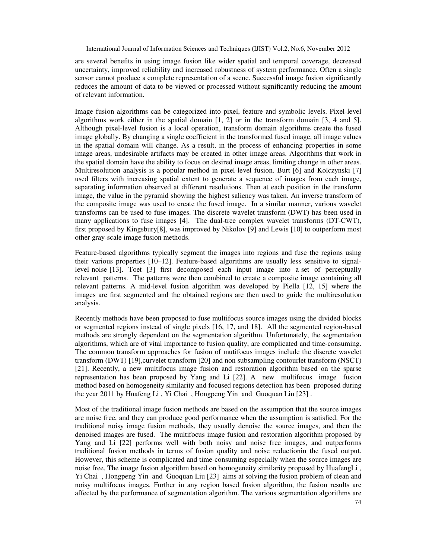are several benefits in using image fusion like wider spatial and temporal coverage, decreased uncertainty, improved reliability and increased robustness of system performance. Often a single sensor cannot produce a complete representation of a scene. Successful image fusion significantly reduces the amount of data to be viewed or processed without significantly reducing the amount of relevant information.

Image fusion algorithms can be categorized into pixel, feature and symbolic levels. Pixel-level algorithms work either in the spatial domain  $[1, 2]$  or in the transform domain  $[3, 4$  and 5]. Although pixel-level fusion is a local operation, transform domain algorithms create the fused image globally. By changing a single coefficient in the transformed fused image, all image values in the spatial domain will change. As a result, in the process of enhancing properties in some image areas, undesirable artifacts may be created in other image areas. Algorithms that work in the spatial domain have the ability to focus on desired image areas, limiting change in other areas. Multiresolution analysis is a popular method in pixel-level fusion. Burt [6] and Kolczynski [7] used filters with increasing spatial extent to generate a sequence of images from each image, separating information observed at different resolutions. Then at each position in the transform image, the value in the pyramid showing the highest saliency was taken. An inverse transform of the composite image was used to create the fused image. In a similar manner, various wavelet transforms can be used to fuse images. The discrete wavelet transform (DWT) has been used in many applications to fuse images [4]. The dual-tree complex wavelet transforms (DT-CWT), first proposed by Kingsbury[8], was improved by Nikolov [9] and Lewis [10] to outperform most other gray-scale image fusion methods.

Feature-based algorithms typically segment the images into regions and fuse the regions using their various properties [10–12]. Feature-based algorithms are usually less sensitive to signallevel noise [13]. Toet [3] first decomposed each input image into a set of perceptually relevant patterns. The patterns were then combined to create a composite image containing all relevant patterns. A mid-level fusion algorithm was developed by Piella [12, 15] where the images are first segmented and the obtained regions are then used to guide the multiresolution analysis.

Recently methods have been proposed to fuse multifocus source images using the divided blocks or segmented regions instead of single pixels [16, 17, and 18]. All the segmented region-based methods are strongly dependent on the segmentation algorithm. Unfortunately, the segmentation algorithms, which are of vital importance to fusion quality, are complicated and time-consuming. The common transform approaches for fusion of mutifocus images include the discrete wavelet transform (DWT) [19],curvelet transform [20] and non subsampling contourlet transform (NSCT) [21]. Recently, a new multifocus image fusion and restoration algorithm based on the sparse representation has been proposed by Yang and Li [22]. A new multifocus image fusion method based on homogeneity similarity and focused regions detection has been proposed during the year 2011 by Huafeng Li , Yi Chai , Hongpeng Yin and Guoquan Liu [23] .

Most of the traditional image fusion methods are based on the assumption that the source images are noise free, and they can produce good performance when the assumption is satisfied. For the traditional noisy image fusion methods, they usually denoise the source images, and then the denoised images are fused. The multifocus image fusion and restoration algorithm proposed by Yang and Li [22] performs well with both noisy and noise free images, and outperforms traditional fusion methods in terms of fusion quality and noise reductionin the fused output. However, this scheme is complicated and time-consuming especially when the source images are noise free. The image fusion algorithm based on homogeneity similarity proposed by HuafengLi , Yi Chai , Hongpeng Yin and Guoquan Liu [23] aims at solving the fusion problem of clean and noisy multifocus images. Further in any region based fusion algorithm, the fusion results are affected by the performance of segmentation algorithm. The various segmentation algorithms are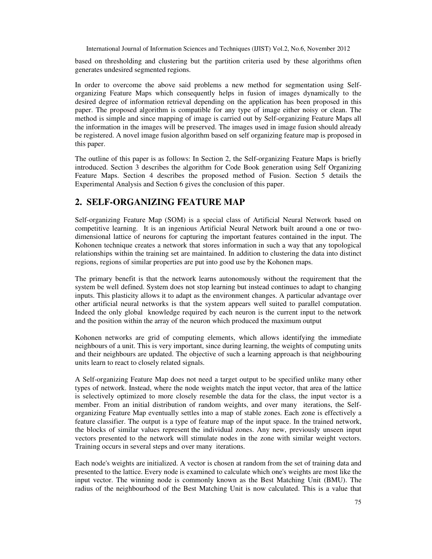based on thresholding and clustering but the partition criteria used by these algorithms often generates undesired segmented regions.

In order to overcome the above said problems a new method for segmentation using Selforganizing Feature Maps which consequently helps in fusion of images dynamically to the desired degree of information retrieval depending on the application has been proposed in this paper. The proposed algorithm is compatible for any type of image either noisy or clean. The method is simple and since mapping of image is carried out by Self-organizing Feature Maps all the information in the images will be preserved. The images used in image fusion should already be registered. A novel image fusion algorithm based on self organizing feature map is proposed in this paper.

The outline of this paper is as follows: In Section 2, the Self-organizing Feature Maps is briefly introduced. Section 3 describes the algorithm for Code Book generation using Self Organizing Feature Maps. Section 4 describes the proposed method of Fusion. Section 5 details the Experimental Analysis and Section 6 gives the conclusion of this paper.

# **2. SELF-ORGANIZING FEATURE MAP**

Self-organizing Feature Map (SOM) is a special class of Artificial Neural Network based on competitive learning. It is an ingenious Artificial Neural Network built around a one or twodimensional lattice of neurons for capturing the important features contained in the input. The Kohonen technique creates a network that stores information in such a way that any topological relationships within the training set are maintained. In addition to clustering the data into distinct regions, regions of similar properties are put into good use by the Kohonen maps.

The primary benefit is that the network learns autonomously without the requirement that the system be well defined. System does not stop learning but instead continues to adapt to changing inputs. This plasticity allows it to adapt as the environment changes. A particular advantage over other artificial neural networks is that the system appears well suited to parallel computation. Indeed the only global knowledge required by each neuron is the current input to the network and the position within the array of the neuron which produced the maximum output

Kohonen networks are grid of computing elements, which allows identifying the immediate neighbours of a unit. This is very important, since during learning, the weights of computing units and their neighbours are updated. The objective of such a learning approach is that neighbouring units learn to react to closely related signals.

A Self-organizing Feature Map does not need a target output to be specified unlike many other types of network. Instead, where the node weights match the input vector, that area of the lattice is selectively optimized to more closely resemble the data for the class, the input vector is a member. From an initial distribution of random weights, and over many iterations, the Selforganizing Feature Map eventually settles into a map of stable zones. Each zone is effectively a feature classifier. The output is a type of feature map of the input space. In the trained network, the blocks of similar values represent the individual zones. Any new, previously unseen input vectors presented to the network will stimulate nodes in the zone with similar weight vectors. Training occurs in several steps and over many iterations.

Each node's weights are initialized. A vector is chosen at random from the set of training data and presented to the lattice. Every node is examined to calculate which one's weights are most like the input vector. The winning node is commonly known as the Best Matching Unit (BMU). The radius of the neighbourhood of the Best Matching Unit is now calculated. This is a value that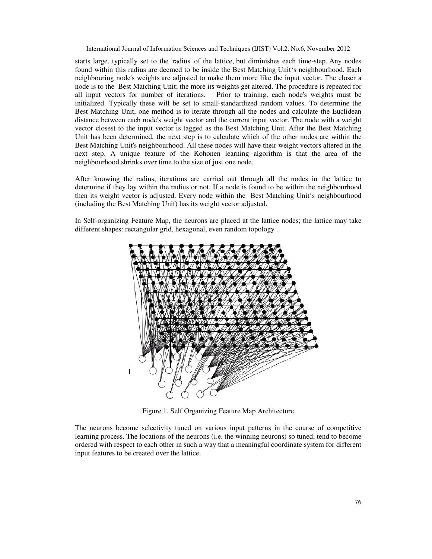starts large, typically set to the 'radius' of the lattice, but diminishes each time-step. Any nodes found within this radius are deemed to be inside the Best Matching Unit's neighbourhood. Each neighbouring node's weights are adjusted to make them more like the input vector. The closer a node is to the Best Matching Unit; the more its weights get altered. The procedure is repeated for all input vectors for number of iterations. Prior to training, each node's weights must be initialized. Typically these will be set to small-standardized random values. To determine the Best Matching Unit, one method is to iterate through all the nodes and calculate the Euclidean distance between each node's weight vector and the current input vector. The node with a weight vector closest to the input vector is tagged as the Best Matching Unit. After the Best Matching Unit has been determined, the next step is to calculate which of the other nodes are within the Best Matching Unit's neighbourhood. All these nodes will have their weight vectors altered in the next step. A unique feature of the Kohonen learning algorithm is that the area of the neighbourhood shrinks over time to the size of just one node.

After knowing the radius, iterations are carried out through all the nodes in the lattice to determine if they lay within the radius or not. If a node is found to be within the neighbourhood then its weight vector is adjusted. Every node within the Best Matching Unit's neighbourhood (including the Best Matching Unit) has its weight vector adjusted.

In Self-organizing Feature Map, the neurons are placed at the lattice nodes; the lattice may take different shapes: rectangular grid, hexagonal, even random topology .



Figure 1. Self Organizing Feature Map Architecture

The neurons become selectivity tuned on various input patterns in the course of competitive learning process. The locations of the neurons (i.e. the winning neurons) so tuned, tend to become ordered with respect to each other in such a way that a meaningful coordinate system for different input features to be created over the lattice.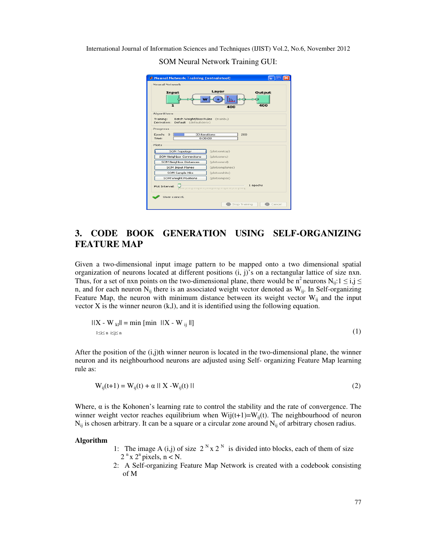SOM Neural Network Training GUI:

| Algorithms                                                                              |                 |
|-----------------------------------------------------------------------------------------|-----------------|
| Training:<br>Batch Weight/Bias Rules (trainbu)<br>Derivative:<br>Default (defaultderiv) |                 |
| Progress<br>Epoch:<br>33 iterations<br>$\Omega$<br>0:00:08<br>Time:                     | 200             |
| Plots<br>SOM Topology                                                                   | (plotsomtop)    |
| SOM Neighbor Connections                                                                | (plotsomnc)     |
| <b>SOM Neighbor Distances</b>                                                           | (plotsomnd)     |
| <b>SOM Input Planes</b>                                                                 | (plotsomplanes) |
| SOM Sample Hits                                                                         | (plotsomhits)   |
| <b>SOM Weight Positions</b>                                                             | (plotsompos)    |
| Plot Interval:                                                                          | 1 epochs        |

# **3. CODE BOOK GENERATION USING SELF-ORGANIZING FEATURE MAP**

Given a two-dimensional input image pattern to be mapped onto a two dimensional spatial organization of neurons located at different positions (i, j)'s on a rectangular lattice of size nxn. Thus, for a set of nxn points on the two-dimensional plane, there would be n<sup>2</sup> neurons N<sub>ii</sub>:1  $\leq$  i,j  $\leq$ n, and for each neuron  $N_{ij}$  there is an associated weight vector denoted as  $W_{ij}$ . In Self-organizing Feature Map, the neuron with minimum distance between its weight vector  $W_{ij}$  and the input vector  $X$  is the winner neuron  $(k, l)$ , and it is identified using the following equation.

$$
||X - W_{kl}|| = \min \left[ \min \ ||X - W_{ij}|| \right]
$$
  

$$
1 \leq i \leq n \leq j \leq n
$$
 (1)

After the position of the  $(i,j)$ th winner neuron is located in the two-dimensional plane, the winner neuron and its neighbourhood neurons are adjusted using Self- organizing Feature Map learning rule as:

$$
W_{ij}(t+1) = W_{ij}(t) + \alpha \parallel X - W_{ij}(t) \parallel
$$
 (2)

Where,  $\alpha$  is the Kohonen's learning rate to control the stability and the rate of convergence. The winner weight vector reaches equilibrium when Wij(t+1)=W<sub>ij</sub>(t). The neighbourhood of neuron  $N_{ii}$  is chosen arbitrary. It can be a square or a circular zone around  $N_{ii}$  of arbitrary chosen radius.

#### **Algorithm**

- 1: The image A (i,j) of size  $2^N \times 2^N$  is divided into blocks, each of them of size  $2 \binom{n}{x}$   $2^n$  pixels,  $n < N$ .
- 2: A Self-organizing Feature Map Network is created with a codebook consisting of M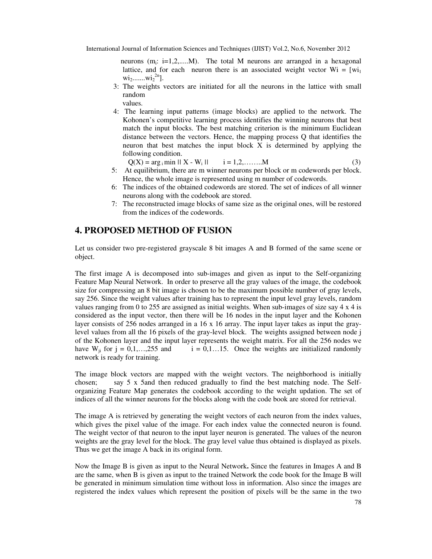neurons  $(m_i: i=1,2,...M)$ . The total M neurons are arranged in a hexagonal lattice, and for each neuron there is an associated weight vector  $Wi = [wi<sub>1</sub>]$  $wi_2$ ....... $wi_2^{2n}$ ].

- 3: The weights vectors are initiated for all the neurons in the lattice with small random values.
- 4: The learning input patterns (image blocks) are applied to the network. The Kohonen's competitive learning process identifies the winning neurons that best match the input blocks. The best matching criterion is the minimum Euclidean distance between the vectors. Hence, the mapping process Q that identifies the neuron that best matches the input block X is determined by applying the following condition.

 $Q(X) = \arg_i \min_i ||X - W_i||$  $i = 1, 2, \ldots, M$  (3)

- 5: At equilibrium, there are m winner neurons per block or m codewords per block. Hence, the whole image is represented using m number of codewords.
- 6: The indices of the obtained codewords are stored. The set of indices of all winner neurons along with the codebook are stored.
- 7: The reconstructed image blocks of same size as the original ones, will be restored from the indices of the codewords.

# **4. PROPOSED METHOD OF FUSION**

Let us consider two pre-registered grayscale 8 bit images A and B formed of the same scene or object.

The first image A is decomposed into sub-images and given as input to the Self-organizing Feature Map Neural Network. In order to preserve all the gray values of the image, the codebook size for compressing an 8 bit image is chosen to be the maximum possible number of gray levels, say 256. Since the weight values after training has to represent the input level gray levels, random values ranging from 0 to 255 are assigned as initial weights. When sub-images of size say  $4 \times 4$  is considered as the input vector, then there will be 16 nodes in the input layer and the Kohonen layer consists of 256 nodes arranged in a 16 x 16 array. The input layer takes as input the graylevel values from all the 16 pixels of the gray-level block. The weights assigned between node j of the Kohonen layer and the input layer represents the weight matrix. For all the 256 nodes we have  $W_{ii}$  for  $j = 0, 1, \ldots, 255$  and  $i = 0, 1, \ldots, 15$ . Once the weights are initialized randomly  $i = 0,1...15$ . Once the weights are initialized randomly network is ready for training.

The image block vectors are mapped with the weight vectors. The neighborhood is initially chosen; say 5 x 5and then reduced gradually to find the best matching node. The Selforganizing Feature Map generates the codebook according to the weight updation. The set of indices of all the winner neurons for the blocks along with the code book are stored for retrieval.

The image A is retrieved by generating the weight vectors of each neuron from the index values, which gives the pixel value of the image. For each index value the connected neuron is found. The weight vector of that neuron to the input layer neuron is generated. The values of the neuron weights are the gray level for the block. The gray level value thus obtained is displayed as pixels. Thus we get the image A back in its original form.

Now the Image B is given as input to the Neural Network**.** Since the features in Images A and B are the same, when B is given as input to the trained Network the code book for the Image B will be generated in minimum simulation time without loss in information. Also since the images are registered the index values which represent the position of pixels will be the same in the two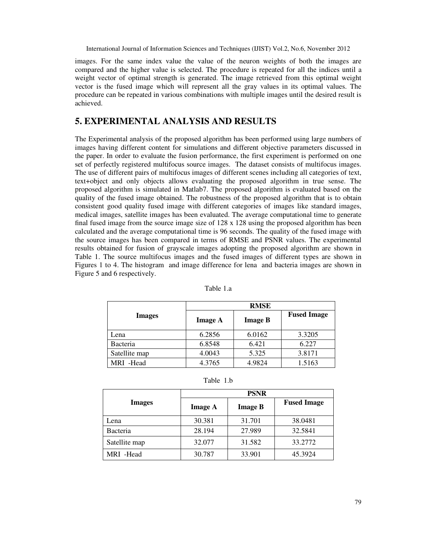images. For the same index value the value of the neuron weights of both the images are compared and the higher value is selected. The procedure is repeated for all the indices until a weight vector of optimal strength is generated. The image retrieved from this optimal weight vector is the fused image which will represent all the gray values in its optimal values. The procedure can be repeated in various combinations with multiple images until the desired result is achieved.

# **5. EXPERIMENTAL ANALYSIS AND RESULTS**

The Experimental analysis of the proposed algorithm has been performed using large numbers of images having different content for simulations and different objective parameters discussed in the paper. In order to evaluate the fusion performance, the first experiment is performed on one set of perfectly registered multifocus source images. The dataset consists of multifocus images. The use of different pairs of multifocus images of different scenes including all categories of text, text+object and only objects allows evaluating the proposed algorithm in true sense. The proposed algorithm is simulated in Matlab7. The proposed algorithm is evaluated based on the quality of the fused image obtained. The robustness of the proposed algorithm that is to obtain consistent good quality fused image with different categories of images like standard images, medical images, satellite images has been evaluated. The average computational time to generate final fused image from the source image size of 128 x 128 using the proposed algorithm has been calculated and the average computational time is 96 seconds. The quality of the fused image with the source images has been compared in terms of RMSE and PSNR values. The experimental results obtained for fusion of grayscale images adopting the proposed algorithm are shown in Table 1. The source multifocus images and the fused images of different types are shown in Figures 1 to 4. The histogram and image difference for lena and bacteria images are shown in Figure 5 and 6 respectively.

|               | <b>RMSE</b>    |                |                    |  |
|---------------|----------------|----------------|--------------------|--|
| <b>Images</b> | <b>Image A</b> | <b>Image B</b> | <b>Fused Image</b> |  |
| Lena          | 6.2856         | 6.0162         | 3.3205             |  |
| Bacteria      | 6.8548         | 6.421          | 6.227              |  |
| Satellite map | 4.0043         | 5.325          | 3.8171             |  |
| MRI -Head     | 4.3765         | 4.9824         | 1.5163             |  |

Table 1.a

| Table | 1.h |  |
|-------|-----|--|
|       |     |  |

|               | <b>PSNR</b>    |                |                    |  |
|---------------|----------------|----------------|--------------------|--|
| <b>Images</b> | <b>Image A</b> | <b>Image B</b> | <b>Fused Image</b> |  |
| Lena          | 30.381         | 31.701         | 38.0481            |  |
| Bacteria      | 28.194         | 27.989         | 32.5841            |  |
| Satellite map | 32.077         | 31.582         | 33.2772            |  |
| MRI-Head      | 30.787         | 33.901         | 45.3924            |  |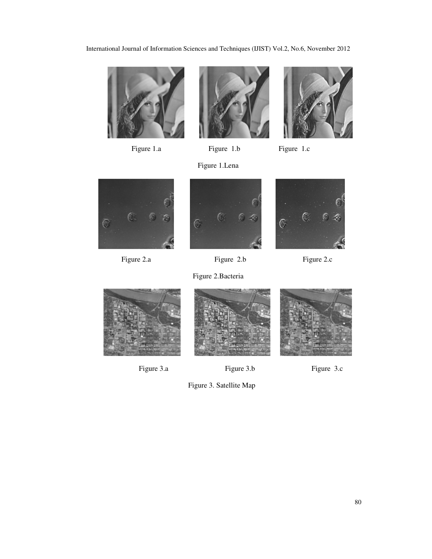



Figure 1.a Figure 1.b Figure 1.c

Figure 1.Lena







Figure 2.a Figure 2.b Figure 2.c









Figure 3.a Figure 3.b Figure 3.c

Figure 3. Satellite Map

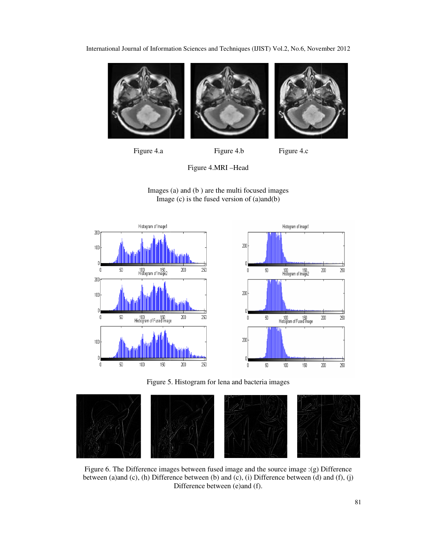International Journal of Information Sciences and Techniques (IJIST) Vol.2, No.6, November 2012 International Journal Vol.2, No.6, November 2012



Figure 4.a

Figure 4.b Figure 4.c

Figure 4.MRI –Head

Images  $(a)$  and  $(b)$  are the multi focused images Image  $(c)$  is the fused version of  $(a)$  and  $(b)$ 



Figure 5. Histogram for lena and bacteria images



Figure 6. The Difference images between fused image and the source image :(g) Difference between (a)and (c), (h) Difference between (b) and (c), (i) Difference between (d) and (f), (j) Difference between (e)and (f).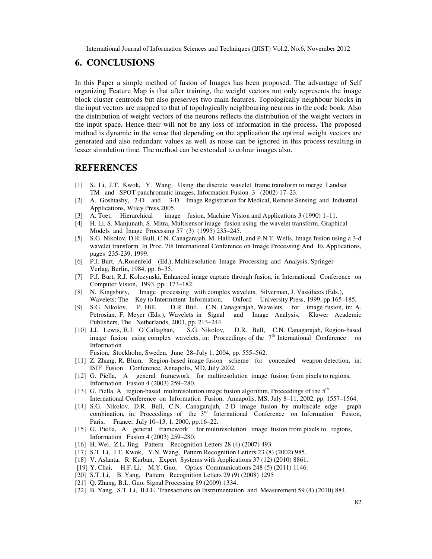# **6. CONCLUSIONS**

In this Paper a simple method of fusion of Images has been proposed. The advantage of Self organizing Feature Map is that after training, the weight vectors not only represents the image block cluster centroids but also preserves two main features. Topologically neighbour blocks in the input vectors are mapped to that of topologically neighbouring neurons in the code book. Also the distribution of weight vectors of the neurons reflects the distribution of the weight vectors in the input space**.** Hence their will not be any loss of information in the process**.** The proposed method is dynamic in the sense that depending on the application the optimal weight vectors are generated and also redundant values as well as noise can be ignored in this process resulting in lesser simulation time. The method can be extended to colour images also.

### **REFERENCES**

- [1] S. Li, J.T. Kwok, Y. Wang, Using the discrete wavelet frame transform to merge Landsat TM and SPOT panchromatic images, Information Fusion 3 (2002) 17–23.
- [2] A. Goshtasby, 2-D and 3-D Image Registration for Medical, Remote Sensing, and Industrial Applications, Wiley Press,2005.
- [3] A. Toet, Hierarchical image fusion, Machine Vision and Applications 3 (1990) 1–11.
- [4] H. Li, S. Manjunath, S. Mitra, Multisensor image fusion using the wavelet transform, Graphical Models and Image Processing 57 (3) (1995) 235–245.
- [5] S.G. Nikolov, D.R. Bull, C.N. Canagarajah, M. Halliwell, and P.N.T. Wells. Image fusion using a 3-d wavelet transform. In Proc. 7th International Conference on Image Processing And Its Applications, pages 235-239, 1999.
- [6] P.J. Burt, A.Rosenfeld (Ed.), Multiresolution Image Processing and Analysis, Springer- Verlag, Berlin, 1984, pp. 6–35.
- [7] P.J. Burt, R.J. Kolczynski, Enhanced image capture through fusion, in International Conference on Computer Vision, 1993, pp. 173–182.<br>[8] N. Kingsbury, Image processing
- Image processing with complex wavelets, Silverman, J. Vassilicos (Eds.), Wavelets: The Key to Intermittent Information, Oxford University Press, 1999, pp.165–185.
- [9] S.G. Nikolov, P. Hill, D.R. Bull, C.N. Canagarajah, Wavelets for image fusion, in: A. Petrosian, F. Meyer (Eds.), Wavelets in Signal and Image Analysis, Kluwer Academic Publishers, The Netherlands, 2001, pp. 213–244.
- [10] J.J. Lewis, R.J. O'Callaghan, S.G. Nikolov, D.R. Bull, C.N. Canagarajah, Region-based image fusion using complex wavelets, in: Proceedings of the  $7<sup>th</sup>$  International Conference on Information

Fusion, Stockholm, Sweden, June 28–July 1, 2004, pp. 555–562.

- [11] Z. Zhang, R. Blum, Region-based image fusion scheme for concealed weapon detection, in: ISIF Fusion Conference, Annapolis, MD, July 2002.
- [12] G. Piella, A general framework for multiresolution image fusion: from pixels to regions, Information Fusion 4 (2003) 259–280.
- [13] G. Piella, A region-based multiresolution image fusion algorithm, Proceedings of the  $5<sup>th</sup>$ International Conference on Information Fusion, Annapolis, MS, July 8–11, 2002, pp. 1557–1564.
- [14] S.G. Nikolov, D.R. Bull, C.N. Canagarajah, 2-D image fusion by multiscale edge graph combination, in: Proceedings of the  $3<sup>rd</sup>$  International Conference on Information Fusion, Paris, France, July 10–13, 1, 2000, pp.16–22.
- [15] G. Piella, A general framework for multiresolution image fusion from pixels to regions, Information Fusion 4 (2003) 259–280.
- [16] H. Wei, Z.L. Jing, Pattern Recognition Letters 28 (4) (2007) 493.
- [17] S.T. Li, J.T. Kwok, Y.N. Wang, Pattern Recognition Letters 23 (8) (2002) 985.
- [18] V. Aslanta, R. Kurban, Expert Systems with Applications 37 (12) (2010) 8861.
- [19] Y. Chai, H.F. Li, M.Y. Guo, Optics Communications 248 (5) (2011) 1146.
- [20] S.T. Li, B. Yang, Pattern Recognition Letters 29 (9) (2008) 1295
- [21] O. Zhang, B.L. Guo, Signal Processing 89 (2009) 1334.
- [22] B. Yang, S.T. Li, IEEE Transactions on Instrumentation and Measurement 59 (4) (2010) 884.